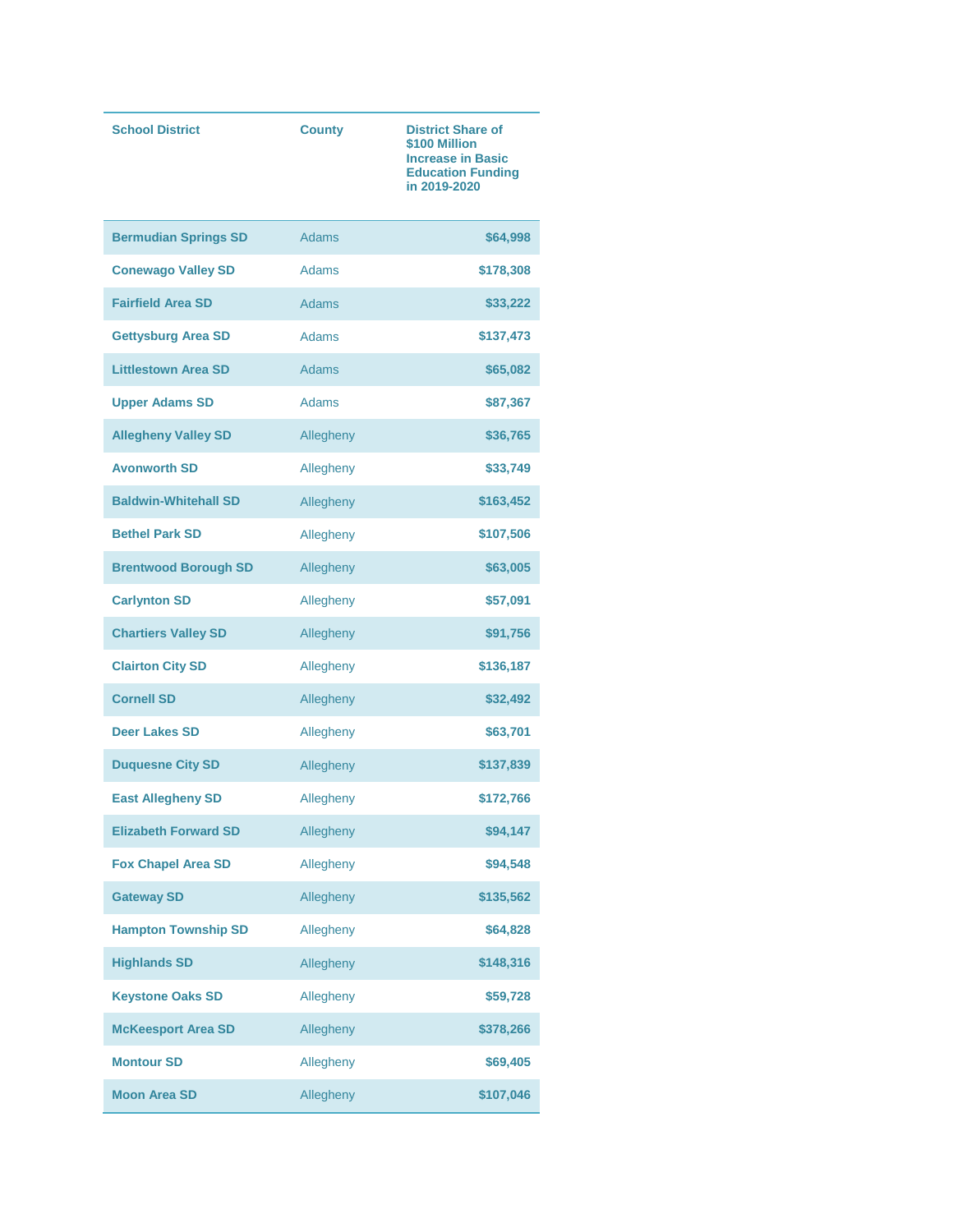| <b>School District</b>      | <b>County</b> | <b>District Share of</b><br>\$100 Million<br><b>Increase in Basic</b><br><b>Education Funding</b><br>in 2019-2020 |
|-----------------------------|---------------|-------------------------------------------------------------------------------------------------------------------|
| <b>Bermudian Springs SD</b> | <b>Adams</b>  | \$64,998                                                                                                          |
| <b>Conewago Valley SD</b>   | <b>Adams</b>  | \$178,308                                                                                                         |
| <b>Fairfield Area SD</b>    | <b>Adams</b>  | \$33,222                                                                                                          |
| <b>Gettysburg Area SD</b>   | <b>Adams</b>  | \$137,473                                                                                                         |
| <b>Littlestown Area SD</b>  | <b>Adams</b>  | \$65,082                                                                                                          |
| <b>Upper Adams SD</b>       | Adams         | \$87,367                                                                                                          |
| <b>Allegheny Valley SD</b>  | Allegheny     | \$36,765                                                                                                          |
| <b>Avonworth SD</b>         | Allegheny     | \$33,749                                                                                                          |
| <b>Baldwin-Whitehall SD</b> | Allegheny     | \$163,452                                                                                                         |
| <b>Bethel Park SD</b>       | Allegheny     | \$107,506                                                                                                         |
| <b>Brentwood Borough SD</b> | Allegheny     | \$63,005                                                                                                          |
| <b>Carlynton SD</b>         | Allegheny     | \$57,091                                                                                                          |
| <b>Chartiers Valley SD</b>  | Allegheny     | \$91,756                                                                                                          |
| <b>Clairton City SD</b>     | Allegheny     | \$136,187                                                                                                         |
| <b>Cornell SD</b>           | Allegheny     | \$32,492                                                                                                          |
| <b>Deer Lakes SD</b>        | Allegheny     | \$63,701                                                                                                          |
| <b>Duquesne City SD</b>     | Allegheny     | \$137,839                                                                                                         |
| <b>East Allegheny SD</b>    | Allegheny     | \$172,766                                                                                                         |
| <b>Elizabeth Forward SD</b> | Allegheny     | \$94,147                                                                                                          |
| <b>Fox Chapel Area SD</b>   | Allegheny     | \$94,548                                                                                                          |
| <b>Gateway SD</b>           | Allegheny     | \$135,562                                                                                                         |
| <b>Hampton Township SD</b>  | Allegheny     | \$64,828                                                                                                          |
| <b>Highlands SD</b>         | Allegheny     | \$148,316                                                                                                         |
| <b>Keystone Oaks SD</b>     | Allegheny     | \$59,728                                                                                                          |
| <b>McKeesport Area SD</b>   | Allegheny     | \$378,266                                                                                                         |
| <b>Montour SD</b>           | Allegheny     | \$69,405                                                                                                          |
| <b>Moon Area SD</b>         | Allegheny     | \$107,046                                                                                                         |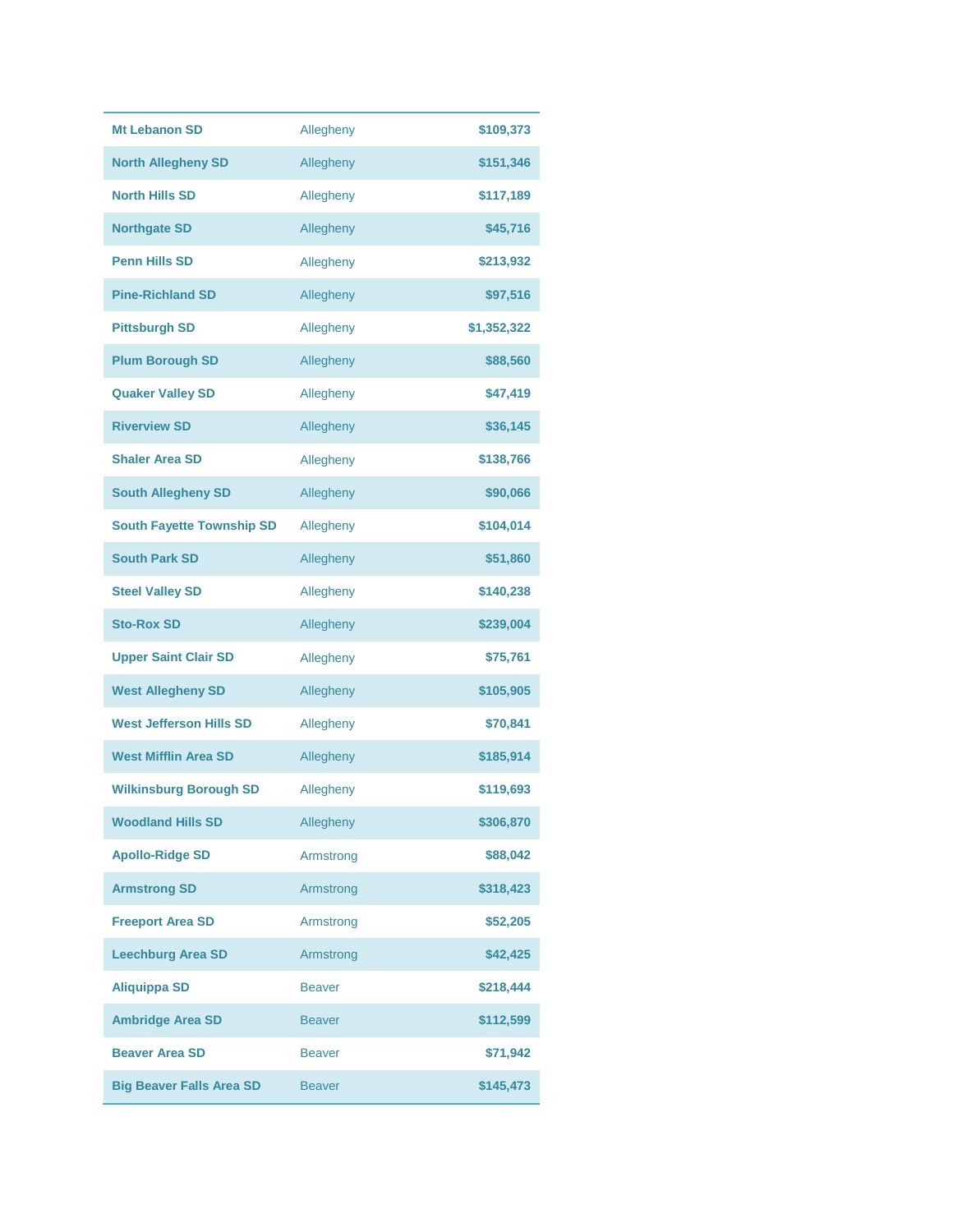| <b>Mt Lebanon SD</b>             | Allegheny     | \$109,373   |
|----------------------------------|---------------|-------------|
| <b>North Allegheny SD</b>        | Allegheny     | \$151,346   |
| <b>North Hills SD</b>            | Allegheny     | \$117,189   |
| <b>Northgate SD</b>              | Allegheny     | \$45,716    |
| <b>Penn Hills SD</b>             | Allegheny     | \$213,932   |
| <b>Pine-Richland SD</b>          | Allegheny     | \$97,516    |
| <b>Pittsburgh SD</b>             | Allegheny     | \$1,352,322 |
| <b>Plum Borough SD</b>           | Allegheny     | \$88,560    |
| <b>Quaker Valley SD</b>          | Allegheny     | \$47,419    |
| <b>Riverview SD</b>              | Allegheny     | \$36,145    |
| <b>Shaler Area SD</b>            | Allegheny     | \$138,766   |
| <b>South Allegheny SD</b>        | Allegheny     | \$90,066    |
| <b>South Fayette Township SD</b> | Allegheny     | \$104,014   |
| <b>South Park SD</b>             | Allegheny     | \$51,860    |
| <b>Steel Valley SD</b>           | Allegheny     | \$140,238   |
| <b>Sto-Rox SD</b>                | Allegheny     | \$239,004   |
| <b>Upper Saint Clair SD</b>      | Allegheny     | \$75,761    |
| <b>West Allegheny SD</b>         | Allegheny     | \$105,905   |
| <b>West Jefferson Hills SD</b>   | Allegheny     | \$70,841    |
| <b>West Mifflin Area SD</b>      | Allegheny     | \$185,914   |
| <b>Wilkinsburg Borough SD</b>    | Allegheny     | \$119,693   |
| <b>Woodland Hills SD</b>         | Allegheny     | \$306,870   |
| <b>Apollo-Ridge SD</b>           | Armstrong     | \$88,042    |
| <b>Armstrong SD</b>              | Armstrong     | \$318,423   |
| <b>Freeport Area SD</b>          | Armstrong     | \$52,205    |
| <b>Leechburg Area SD</b>         | Armstrong     | \$42,425    |
| <b>Aliquippa SD</b>              | <b>Beaver</b> | \$218,444   |
| <b>Ambridge Area SD</b>          | <b>Beaver</b> | \$112,599   |
| <b>Beaver Area SD</b>            | <b>Beaver</b> | \$71,942    |
| <b>Big Beaver Falls Area SD</b>  | <b>Beaver</b> | \$145,473   |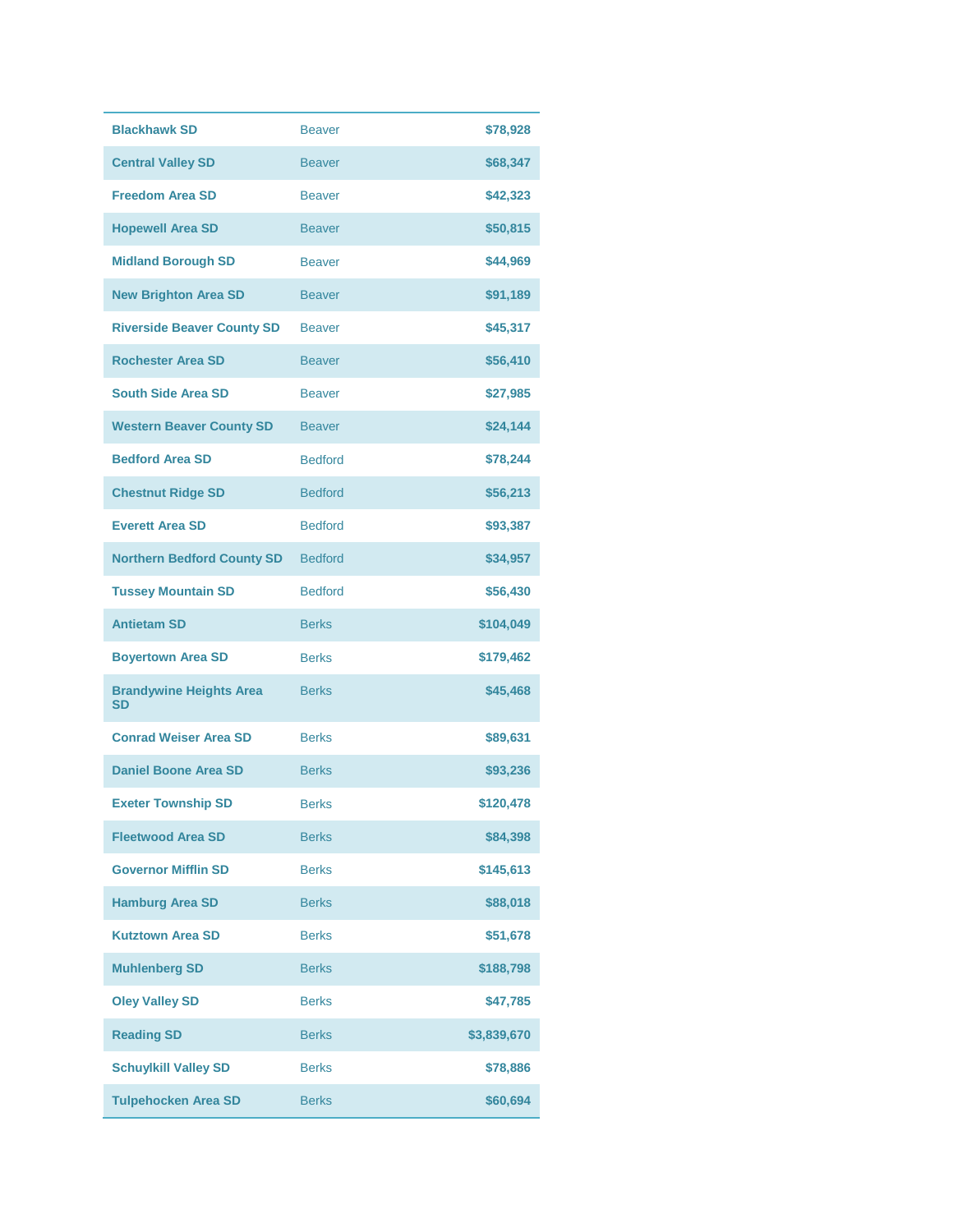| <b>Blackhawk SD</b>                         | <b>Beaver</b>  | \$78,928    |
|---------------------------------------------|----------------|-------------|
| <b>Central Valley SD</b>                    | <b>Beaver</b>  | \$68,347    |
| <b>Freedom Area SD</b>                      | <b>Beaver</b>  | \$42,323    |
| <b>Hopewell Area SD</b>                     | <b>Beaver</b>  | \$50,815    |
| <b>Midland Borough SD</b>                   | <b>Beaver</b>  | \$44,969    |
| <b>New Brighton Area SD</b>                 | <b>Beaver</b>  | \$91,189    |
| <b>Riverside Beaver County SD</b>           | <b>Beaver</b>  | \$45,317    |
| <b>Rochester Area SD</b>                    | <b>Beaver</b>  | \$56,410    |
| <b>South Side Area SD</b>                   | <b>Beaver</b>  | \$27,985    |
| <b>Western Beaver County SD</b>             | <b>Beaver</b>  | \$24,144    |
| <b>Bedford Area SD</b>                      | <b>Bedford</b> | \$78,244    |
| <b>Chestnut Ridge SD</b>                    | <b>Bedford</b> | \$56,213    |
| <b>Everett Area SD</b>                      | <b>Bedford</b> | \$93,387    |
| <b>Northern Bedford County SD</b>           | <b>Bedford</b> | \$34,957    |
| <b>Tussey Mountain SD</b>                   | <b>Bedford</b> | \$56,430    |
| <b>Antietam SD</b>                          | <b>Berks</b>   | \$104,049   |
| <b>Boyertown Area SD</b>                    | <b>Berks</b>   | \$179,462   |
| <b>Brandywine Heights Area</b><br><b>SD</b> | <b>Berks</b>   | \$45,468    |
| <b>Conrad Weiser Area SD</b>                | <b>Berks</b>   | \$89,631    |
| <b>Daniel Boone Area SD</b>                 | <b>Berks</b>   | \$93,236    |
| <b>Exeter Township SD</b>                   | <b>Berks</b>   | \$120,478   |
| <b>Fleetwood Area SD</b>                    | <b>Berks</b>   | \$84,398    |
| <b>Governor Mifflin SD</b>                  | <b>Berks</b>   | \$145,613   |
| <b>Hamburg Area SD</b>                      | <b>Berks</b>   | \$88,018    |
| <b>Kutztown Area SD</b>                     | <b>Berks</b>   | \$51,678    |
| <b>Muhlenberg SD</b>                        | <b>Berks</b>   | \$188,798   |
| <b>Oley Valley SD</b>                       | <b>Berks</b>   | \$47.785    |
| <b>Reading SD</b>                           | <b>Berks</b>   | \$3,839,670 |
| <b>Schuylkill Valley SD</b>                 | <b>Berks</b>   | \$78,886    |
| <b>Tulpehocken Area SD</b>                  | <b>Berks</b>   | \$60,694    |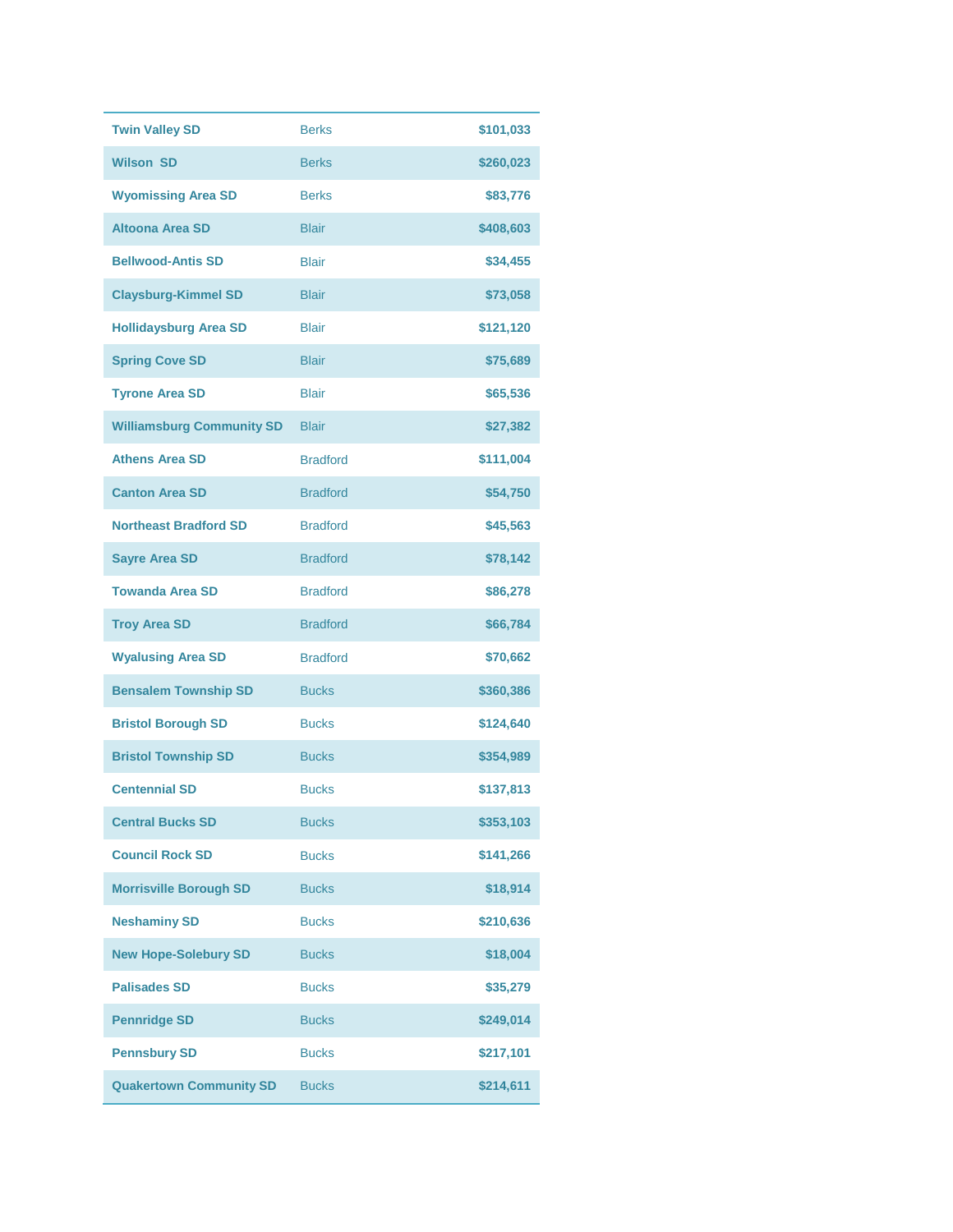| <b>Twin Valley SD</b>            | <b>Berks</b>    | \$101,033 |
|----------------------------------|-----------------|-----------|
| <b>Wilson SD</b>                 | <b>Berks</b>    | \$260,023 |
| <b>Wyomissing Area SD</b>        | <b>Berks</b>    | \$83,776  |
| <b>Altoona Area SD</b>           | <b>Blair</b>    | \$408,603 |
| <b>Bellwood-Antis SD</b>         | <b>Blair</b>    | \$34,455  |
| <b>Claysburg-Kimmel SD</b>       | <b>Blair</b>    | \$73,058  |
| <b>Hollidaysburg Area SD</b>     | <b>Blair</b>    | \$121,120 |
| <b>Spring Cove SD</b>            | <b>Blair</b>    | \$75,689  |
| <b>Tyrone Area SD</b>            | <b>Blair</b>    | \$65,536  |
| <b>Williamsburg Community SD</b> | <b>Blair</b>    | \$27,382  |
| <b>Athens Area SD</b>            | <b>Bradford</b> | \$111,004 |
| <b>Canton Area SD</b>            | <b>Bradford</b> | \$54,750  |
| <b>Northeast Bradford SD</b>     | <b>Bradford</b> | \$45,563  |
| <b>Sayre Area SD</b>             | <b>Bradford</b> | \$78,142  |
| <b>Towanda Area SD</b>           | <b>Bradford</b> | \$86,278  |
| <b>Troy Area SD</b>              | <b>Bradford</b> | \$66,784  |
| <b>Wyalusing Area SD</b>         | <b>Bradford</b> | \$70,662  |
| <b>Bensalem Township SD</b>      | <b>Bucks</b>    | \$360,386 |
| <b>Bristol Borough SD</b>        | <b>Bucks</b>    | \$124,640 |
| <b>Bristol Township SD</b>       | <b>Bucks</b>    | \$354,989 |
| <b>Centennial SD</b>             | <b>Bucks</b>    | \$137,813 |
| <b>Central Bucks SD</b>          | <b>Bucks</b>    | \$353,103 |
| <b>Council Rock SD</b>           | <b>Bucks</b>    | \$141,266 |
| <b>Morrisville Borough SD</b>    | <b>Bucks</b>    | \$18,914  |
| <b>Neshaminy SD</b>              | <b>Bucks</b>    | \$210,636 |
| <b>New Hope-Solebury SD</b>      | <b>Bucks</b>    | \$18,004  |
| <b>Palisades SD</b>              | <b>Bucks</b>    | \$35,279  |
| <b>Pennridge SD</b>              | <b>Bucks</b>    | \$249,014 |
| <b>Pennsbury SD</b>              | <b>Bucks</b>    | \$217,101 |
| <b>Quakertown Community SD</b>   | <b>Bucks</b>    | \$214,611 |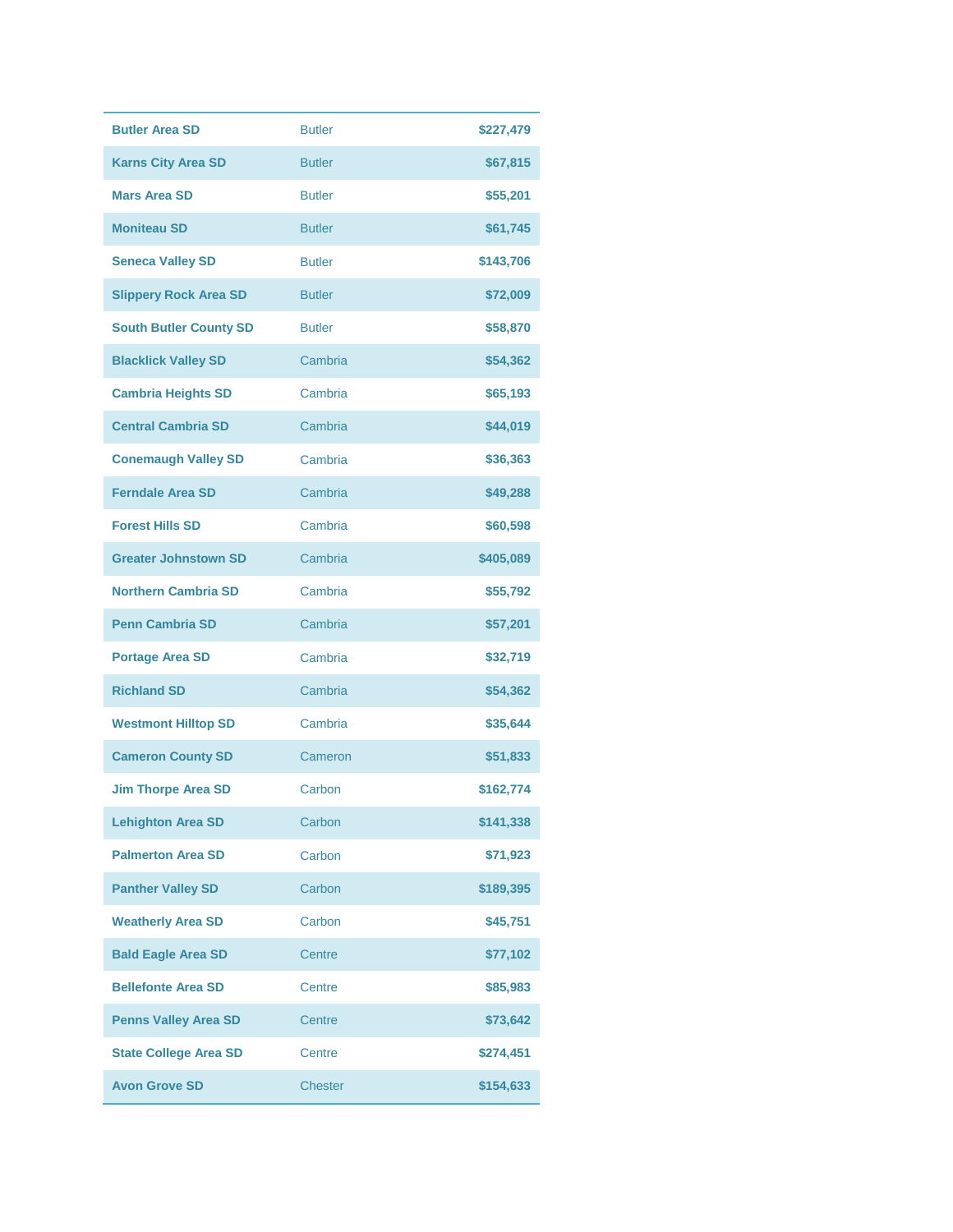| <b>Butler Area SD</b>         | <b>Butler</b>  | \$227,479 |
|-------------------------------|----------------|-----------|
| <b>Karns City Area SD</b>     | <b>Butler</b>  | \$67,815  |
| <b>Mars Area SD</b>           | <b>Butler</b>  | \$55,201  |
| <b>Moniteau SD</b>            | <b>Butler</b>  | \$61,745  |
| <b>Seneca Valley SD</b>       | <b>Butler</b>  | \$143,706 |
| <b>Slippery Rock Area SD</b>  | <b>Butler</b>  | \$72,009  |
| <b>South Butler County SD</b> | <b>Butler</b>  | \$58,870  |
| <b>Blacklick Valley SD</b>    | Cambria        | \$54,362  |
| <b>Cambria Heights SD</b>     | Cambria        | \$65,193  |
| <b>Central Cambria SD</b>     | Cambria        | \$44,019  |
| <b>Conemaugh Valley SD</b>    | Cambria        | \$36,363  |
| <b>Ferndale Area SD</b>       | Cambria        | \$49,288  |
| <b>Forest Hills SD</b>        | Cambria        | \$60,598  |
| <b>Greater Johnstown SD</b>   | Cambria        | \$405,089 |
| <b>Northern Cambria SD</b>    | Cambria        | \$55,792  |
| <b>Penn Cambria SD</b>        | Cambria        | \$57,201  |
| <b>Portage Area SD</b>        | Cambria        | \$32,719  |
| <b>Richland SD</b>            | Cambria        | \$54,362  |
| <b>Westmont Hilltop SD</b>    | Cambria        | \$35,644  |
| <b>Cameron County SD</b>      | Cameron        | \$51,833  |
| <b>Jim Thorpe Area SD</b>     | Carbon         | \$162,774 |
| <b>Lehighton Area SD</b>      | Carbon         | \$141,338 |
| <b>Palmerton Area SD</b>      | Carbon         | \$71,923  |
| <b>Panther Valley SD</b>      | Carbon         | \$189,395 |
| <b>Weatherly Area SD</b>      | Carbon         | \$45,751  |
| <b>Bald Eagle Area SD</b>     | Centre         | \$77,102  |
| <b>Bellefonte Area SD</b>     | Centre         | \$85,983  |
| <b>Penns Valley Area SD</b>   | Centre         | \$73,642  |
| <b>State College Area SD</b>  | Centre         | \$274,451 |
| <b>Avon Grove SD</b>          | <b>Chester</b> | \$154,633 |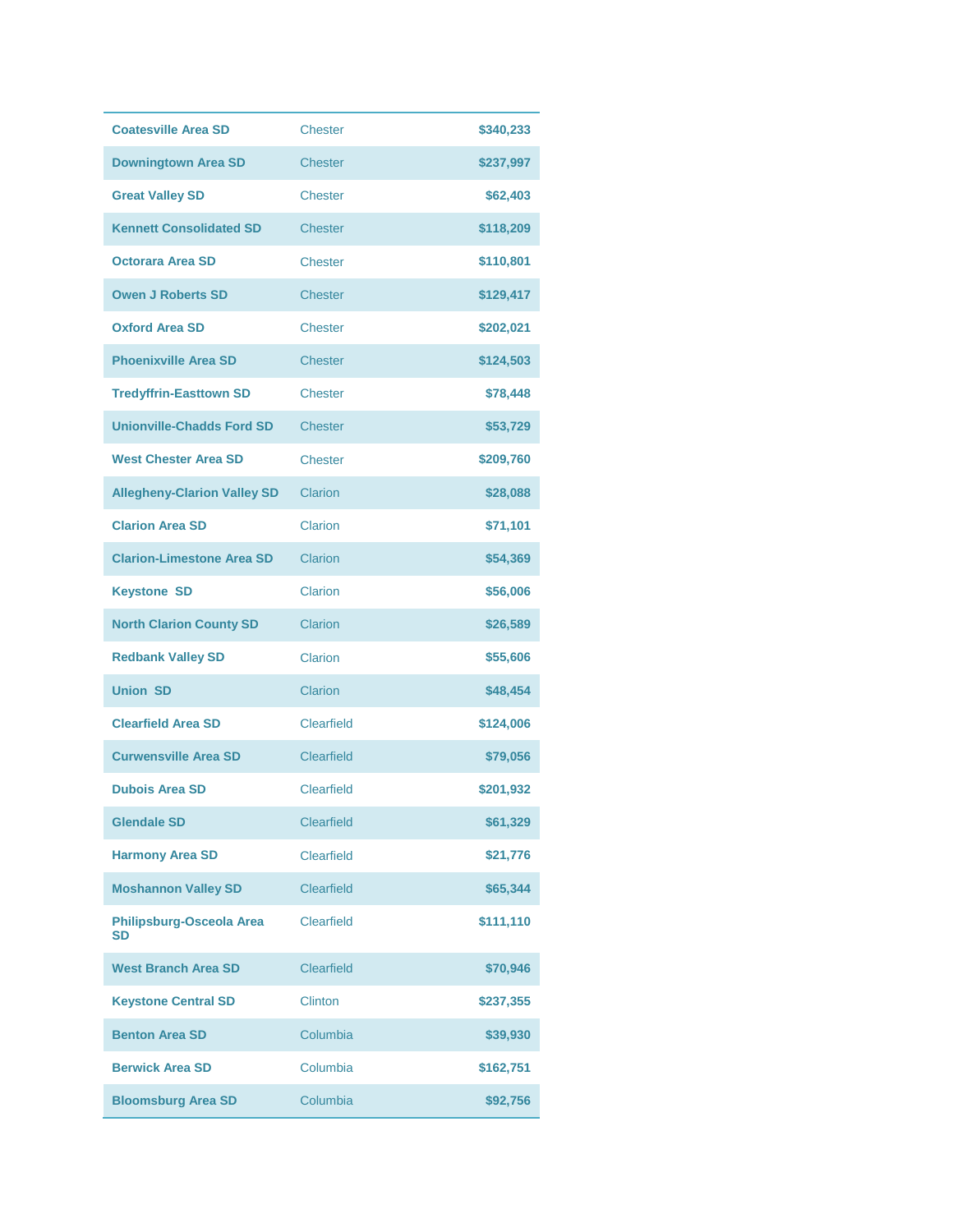| <b>Coatesville Area SD</b>            | <b>Chester</b>    | \$340,233 |
|---------------------------------------|-------------------|-----------|
| <b>Downingtown Area SD</b>            | <b>Chester</b>    | \$237,997 |
| <b>Great Valley SD</b>                | Chester           | \$62,403  |
| <b>Kennett Consolidated SD</b>        | <b>Chester</b>    | \$118,209 |
| <b>Octorara Area SD</b>               | <b>Chester</b>    | \$110,801 |
| <b>Owen J Roberts SD</b>              | <b>Chester</b>    | \$129,417 |
| <b>Oxford Area SD</b>                 | <b>Chester</b>    | \$202,021 |
| <b>Phoenixville Area SD</b>           | <b>Chester</b>    | \$124,503 |
| <b>Tredyffrin-Easttown SD</b>         | <b>Chester</b>    | \$78,448  |
| <b>Unionville-Chadds Ford SD</b>      | <b>Chester</b>    | \$53,729  |
| <b>West Chester Area SD</b>           | <b>Chester</b>    | \$209,760 |
| <b>Allegheny-Clarion Valley SD</b>    | Clarion           | \$28,088  |
| <b>Clarion Area SD</b>                | Clarion           | \$71,101  |
| <b>Clarion-Limestone Area SD</b>      | Clarion           | \$54,369  |
| <b>Keystone SD</b>                    | Clarion           | \$56,006  |
| <b>North Clarion County SD</b>        | Clarion           | \$26,589  |
| <b>Redbank Valley SD</b>              | Clarion           | \$55,606  |
| <b>Union SD</b>                       | Clarion           | \$48,454  |
| <b>Clearfield Area SD</b>             | Clearfield        | \$124,006 |
| <b>Curwensville Area SD</b>           | Clearfield        | \$79,056  |
| <b>Dubois Area SD</b>                 | <b>Clearfield</b> | \$201,932 |
| <b>Glendale SD</b>                    | <b>Clearfield</b> | \$61,329  |
| <b>Harmony Area SD</b>                | <b>Clearfield</b> | \$21,776  |
| <b>Moshannon Valley SD</b>            | <b>Clearfield</b> | \$65,344  |
| Philipsburg-Osceola Area<br><b>SD</b> | Clearfield        | \$111,110 |
| <b>West Branch Area SD</b>            | <b>Clearfield</b> | \$70,946  |
| <b>Keystone Central SD</b>            | <b>Clinton</b>    | \$237,355 |
| <b>Benton Area SD</b>                 | Columbia          | \$39,930  |
| <b>Berwick Area SD</b>                | Columbia          | \$162,751 |
| <b>Bloomsburg Area SD</b>             | Columbia          | \$92,756  |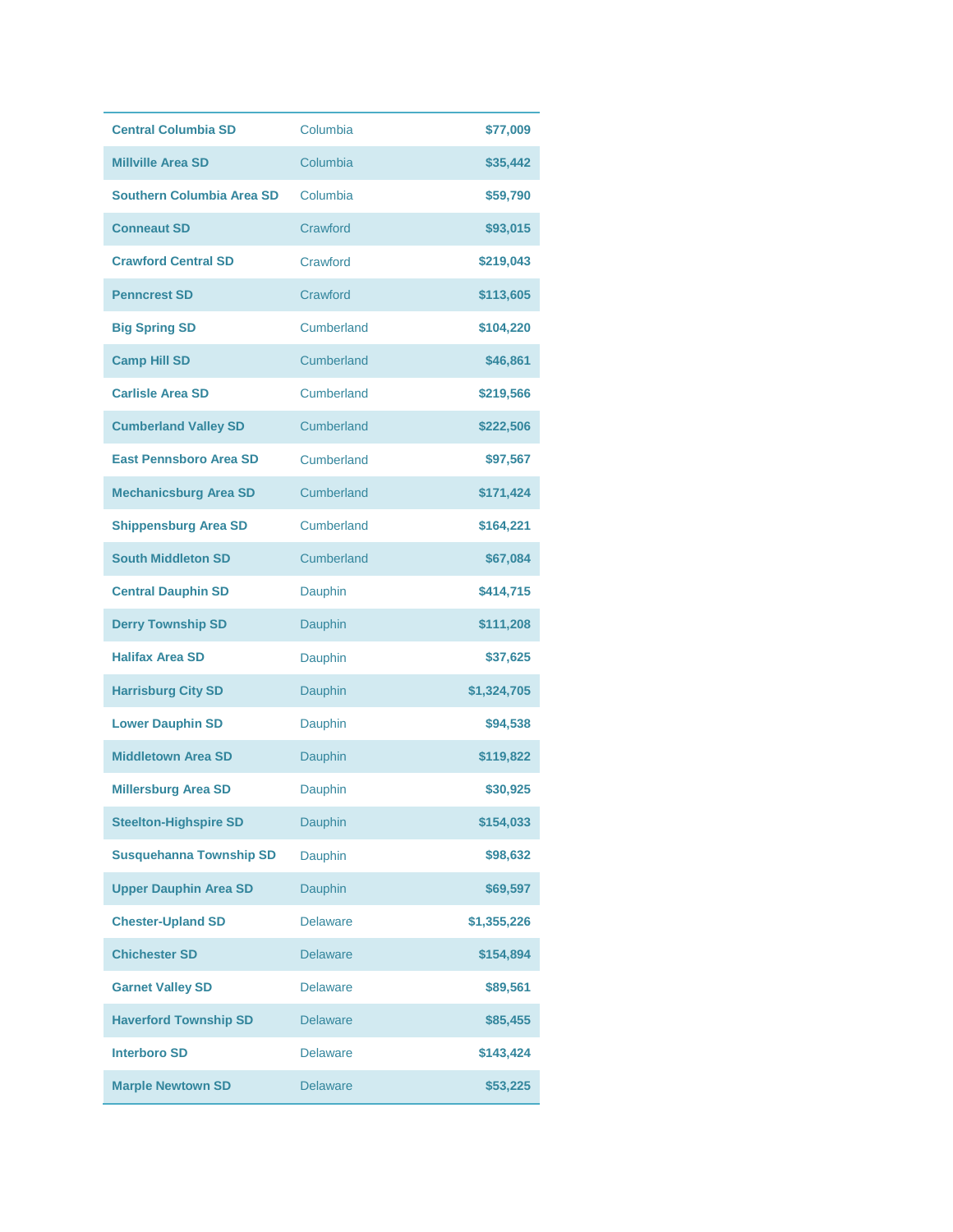| <b>Central Columbia SD</b>     | Columbia        | \$77,009    |
|--------------------------------|-----------------|-------------|
| <b>Millville Area SD</b>       | Columbia        | \$35,442    |
| Southern Columbia Area SD      | Columbia        | \$59,790    |
| <b>Conneaut SD</b>             | Crawford        | \$93,015    |
| <b>Crawford Central SD</b>     | Crawford        | \$219,043   |
| <b>Penncrest SD</b>            | Crawford        | \$113,605   |
| <b>Big Spring SD</b>           | Cumberland      | \$104,220   |
| <b>Camp Hill SD</b>            | Cumberland      | \$46,861    |
| <b>Carlisle Area SD</b>        | Cumberland      | \$219,566   |
| <b>Cumberland Valley SD</b>    | Cumberland      | \$222,506   |
| <b>East Pennsboro Area SD</b>  | Cumberland      | \$97,567    |
| <b>Mechanicsburg Area SD</b>   | Cumberland      | \$171,424   |
| <b>Shippensburg Area SD</b>    | Cumberland      | \$164,221   |
| <b>South Middleton SD</b>      | Cumberland      | \$67,084    |
| <b>Central Dauphin SD</b>      | Dauphin         | \$414,715   |
| <b>Derry Township SD</b>       | Dauphin         | \$111,208   |
| <b>Halifax Area SD</b>         | Dauphin         | \$37,625    |
| <b>Harrisburg City SD</b>      | Dauphin         | \$1,324,705 |
| <b>Lower Dauphin SD</b>        | Dauphin         | \$94,538    |
| <b>Middletown Area SD</b>      | Dauphin         | \$119,822   |
| <b>Millersburg Area SD</b>     | Dauphin         | \$30,925    |
| <b>Steelton-Highspire SD</b>   | Dauphin         | \$154,033   |
| <b>Susquehanna Township SD</b> | Dauphin         | \$98,632    |
| <b>Upper Dauphin Area SD</b>   | Dauphin         | \$69,597    |
| <b>Chester-Upland SD</b>       | <b>Delaware</b> | \$1,355,226 |
| <b>Chichester SD</b>           | <b>Delaware</b> | \$154,894   |
| <b>Garnet Valley SD</b>        | Delaware        | \$89,561    |
| <b>Haverford Township SD</b>   | <b>Delaware</b> | \$85,455    |
| <b>Interboro SD</b>            | <b>Delaware</b> | \$143,424   |
| <b>Marple Newtown SD</b>       | <b>Delaware</b> | \$53,225    |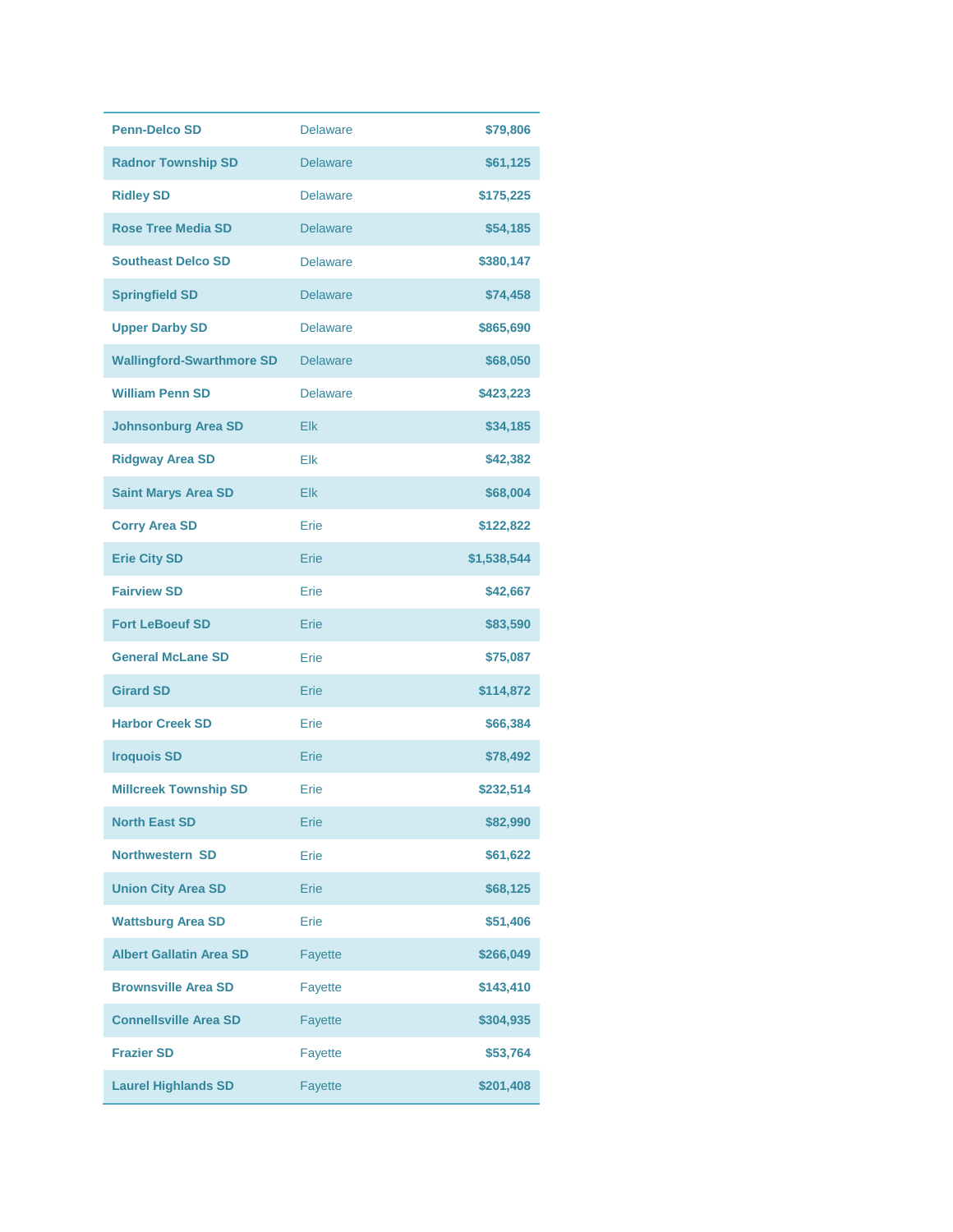| <b>Penn-Delco SD</b>             | <b>Delaware</b> | \$79,806    |
|----------------------------------|-----------------|-------------|
| <b>Radnor Township SD</b>        | <b>Delaware</b> | \$61,125    |
| <b>Ridley SD</b>                 | <b>Delaware</b> | \$175,225   |
| <b>Rose Tree Media SD</b>        | <b>Delaware</b> | \$54,185    |
| <b>Southeast Delco SD</b>        | <b>Delaware</b> | \$380,147   |
| <b>Springfield SD</b>            | <b>Delaware</b> | \$74,458    |
| <b>Upper Darby SD</b>            | <b>Delaware</b> | \$865,690   |
| <b>Wallingford-Swarthmore SD</b> | <b>Delaware</b> | \$68,050    |
| <b>William Penn SD</b>           | <b>Delaware</b> | \$423,223   |
| <b>Johnsonburg Area SD</b>       | Elk             | \$34,185    |
| <b>Ridgway Area SD</b>           | Elk             | \$42,382    |
| <b>Saint Marys Area SD</b>       | Elk             | \$68,004    |
| <b>Corry Area SD</b>             | Erie            | \$122,822   |
| <b>Erie City SD</b>              | Erie            | \$1,538,544 |
| <b>Fairview SD</b>               | Erie            | \$42,667    |
| <b>Fort LeBoeuf SD</b>           | Erie            | \$83,590    |
| <b>General McLane SD</b>         | Erie            | \$75,087    |
| <b>Girard SD</b>                 | Erie            | \$114,872   |
| <b>Harbor Creek SD</b>           | Erie            | \$66,384    |
| <b>Iroquois SD</b>               | Erie            | \$78,492    |
| <b>Millcreek Township SD</b>     | Erie            | \$232,514   |
| <b>North East SD</b>             | Erie            | \$82,990    |
| <b>Northwestern SD</b>           | Erie            | \$61,622    |
| <b>Union City Area SD</b>        | Erie            | \$68,125    |
| <b>Wattsburg Area SD</b>         | Erie            | \$51,406    |
| <b>Albert Gallatin Area SD</b>   | <b>Fayette</b>  | \$266,049   |
| <b>Brownsville Area SD</b>       | <b>Fayette</b>  | \$143,410   |
| <b>Connellsville Area SD</b>     | <b>Fayette</b>  | \$304,935   |
| <b>Frazier SD</b>                | <b>Fayette</b>  | \$53,764    |
| <b>Laurel Highlands SD</b>       | <b>Fayette</b>  | \$201,408   |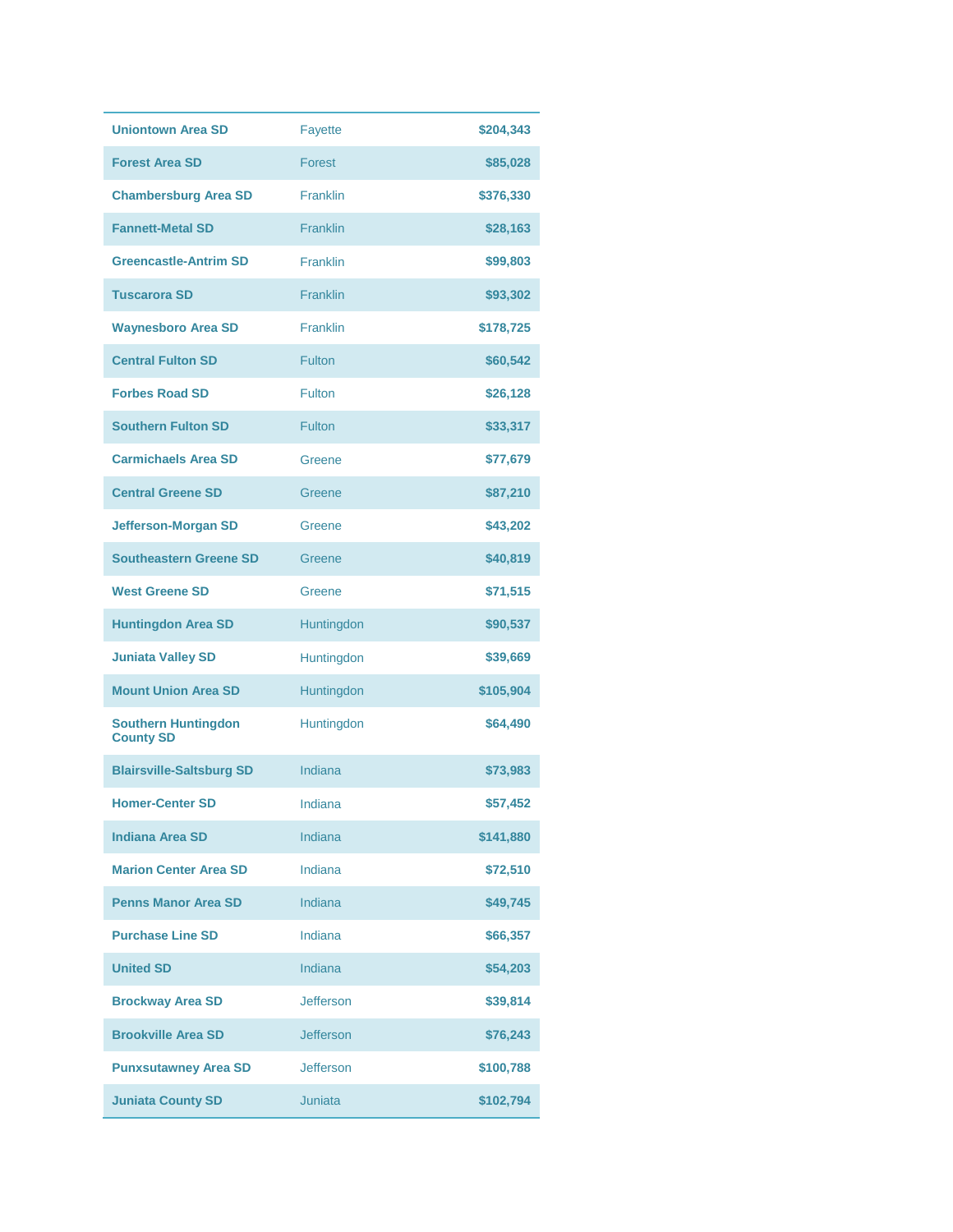| <b>Uniontown Area SD</b>                       | <b>Fayette</b>   | \$204,343 |
|------------------------------------------------|------------------|-----------|
| <b>Forest Area SD</b>                          | Forest           | \$85,028  |
| <b>Chambersburg Area SD</b>                    | <b>Franklin</b>  | \$376,330 |
| <b>Fannett-Metal SD</b>                        | <b>Franklin</b>  | \$28,163  |
| <b>Greencastle-Antrim SD</b>                   | Franklin         | \$99,803  |
| <b>Tuscarora SD</b>                            | <b>Franklin</b>  | \$93,302  |
| <b>Waynesboro Area SD</b>                      | Franklin         | \$178,725 |
| <b>Central Fulton SD</b>                       | <b>Fulton</b>    | \$60,542  |
| <b>Forbes Road SD</b>                          | Fulton           | \$26,128  |
| <b>Southern Fulton SD</b>                      | Fulton           | \$33,317  |
| <b>Carmichaels Area SD</b>                     | Greene           | \$77,679  |
| <b>Central Greene SD</b>                       | Greene           | \$87,210  |
| <b>Jefferson-Morgan SD</b>                     | Greene           | \$43,202  |
| <b>Southeastern Greene SD</b>                  | Greene           | \$40,819  |
| <b>West Greene SD</b>                          | Greene           | \$71,515  |
| <b>Huntingdon Area SD</b>                      | Huntingdon       | \$90,537  |
| <b>Juniata Valley SD</b>                       | Huntingdon       | \$39,669  |
| <b>Mount Union Area SD</b>                     | Huntingdon       | \$105,904 |
| <b>Southern Huntingdon</b><br><b>County SD</b> | Huntingdon       | \$64,490  |
| <b>Blairsville-Saltsburg SD</b>                | Indiana          | \$73,983  |
| <b>Homer-Center SD</b>                         | Indiana          | \$57,452  |
| <b>Indiana Area SD</b>                         | Indiana          | \$141,880 |
| <b>Marion Center Area SD</b>                   | Indiana          | \$72,510  |
| <b>Penns Manor Area SD</b>                     | Indiana          | \$49,745  |
| <b>Purchase Line SD</b>                        | Indiana          | \$66,357  |
| <b>United SD</b>                               | Indiana          | \$54,203  |
| <b>Brockway Area SD</b>                        | <b>Jefferson</b> | \$39,814  |
| <b>Brookville Area SD</b>                      | <b>Jefferson</b> | \$76,243  |
| <b>Punxsutawney Area SD</b>                    | <b>Jefferson</b> | \$100,788 |
| <b>Juniata County SD</b>                       | <b>Juniata</b>   | \$102,794 |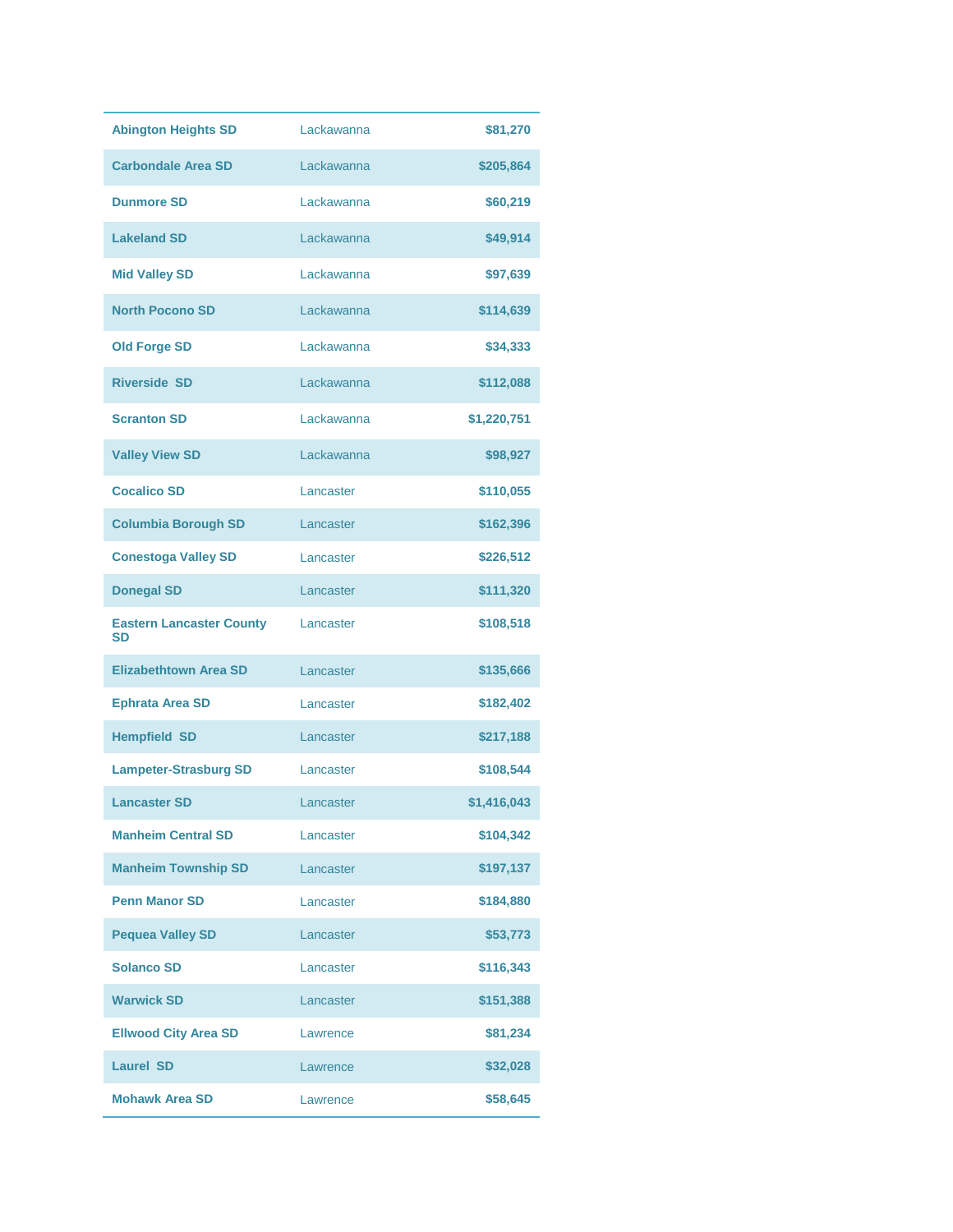| <b>Abington Heights SD</b>                   | Lackawanna | \$81,270    |
|----------------------------------------------|------------|-------------|
| <b>Carbondale Area SD</b>                    | Lackawanna | \$205,864   |
| <b>Dunmore SD</b>                            | Lackawanna | \$60,219    |
| <b>Lakeland SD</b>                           | Lackawanna | \$49,914    |
| <b>Mid Valley SD</b>                         | Lackawanna | \$97,639    |
| <b>North Pocono SD</b>                       | Lackawanna | \$114,639   |
| <b>Old Forge SD</b>                          | Lackawanna | \$34,333    |
| <b>Riverside SD</b>                          | Lackawanna | \$112,088   |
| <b>Scranton SD</b>                           | Lackawanna | \$1,220,751 |
| <b>Valley View SD</b>                        | Lackawanna | \$98,927    |
| <b>Cocalico SD</b>                           | Lancaster  | \$110,055   |
| <b>Columbia Borough SD</b>                   | Lancaster  | \$162,396   |
| <b>Conestoga Valley SD</b>                   | Lancaster  | \$226,512   |
| <b>Donegal SD</b>                            | Lancaster  | \$111,320   |
| <b>Eastern Lancaster County</b><br><b>SD</b> | Lancaster  | \$108,518   |
| <b>Elizabethtown Area SD</b>                 | Lancaster  | \$135,666   |
| <b>Ephrata Area SD</b>                       | Lancaster  | \$182,402   |
| <b>Hempfield SD</b>                          | Lancaster  | \$217,188   |
| <b>Lampeter-Strasburg SD</b>                 | Lancaster  | \$108,544   |
| <b>Lancaster SD</b>                          | Lancaster  | \$1,416,043 |
| <b>Manheim Central SD</b>                    | Lancaster  | \$104,342   |
| <b>Manheim Township SD</b>                   | Lancaster  | \$197,137   |
| <b>Penn Manor SD</b>                         | Lancaster  | \$184,880   |
| <b>Pequea Valley SD</b>                      | Lancaster  | \$53,773    |
| <b>Solanco SD</b>                            | Lancaster  | \$116,343   |
| <b>Warwick SD</b>                            | Lancaster  | \$151,388   |
| <b>Ellwood City Area SD</b>                  | Lawrence   | \$81,234    |
| <b>Laurel SD</b>                             | Lawrence   | \$32,028    |
| <b>Mohawk Area SD</b>                        | Lawrence   | \$58,645    |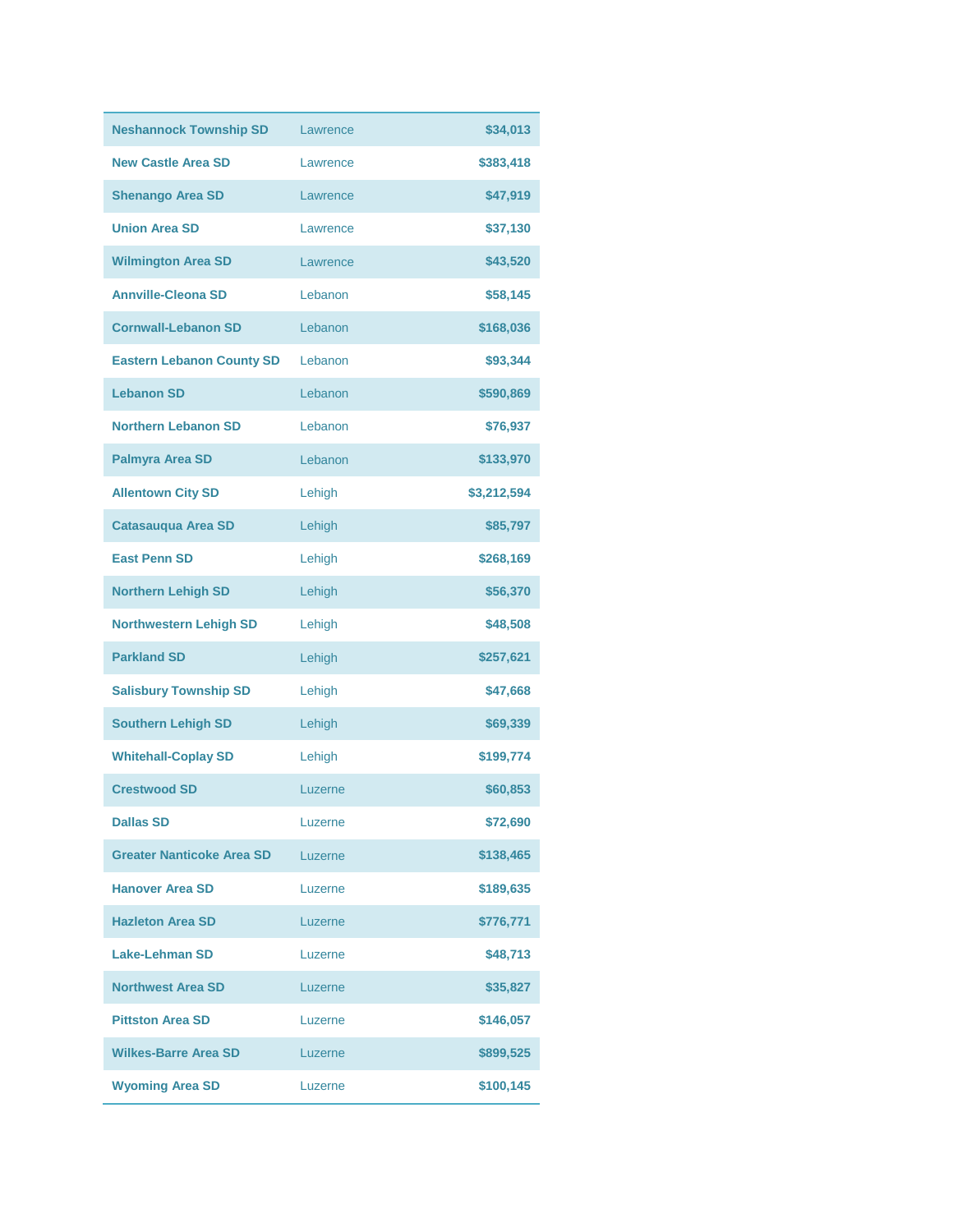| <b>Neshannock Township SD</b>    | Lawrence | \$34,013    |
|----------------------------------|----------|-------------|
| <b>New Castle Area SD</b>        | Lawrence | \$383,418   |
| <b>Shenango Area SD</b>          | Lawrence | \$47,919    |
| <b>Union Area SD</b>             | Lawrence | \$37,130    |
| <b>Wilmington Area SD</b>        | Lawrence | \$43,520    |
| <b>Annville-Cleona SD</b>        | Lebanon  | \$58,145    |
| <b>Cornwall-Lebanon SD</b>       | Lebanon  | \$168,036   |
| <b>Eastern Lebanon County SD</b> | Lebanon  | \$93,344    |
| <b>Lebanon SD</b>                | Lebanon  | \$590,869   |
| <b>Northern Lebanon SD</b>       | Lebanon  | \$76,937    |
| <b>Palmyra Area SD</b>           | Lebanon  | \$133,970   |
| <b>Allentown City SD</b>         | Lehigh   | \$3,212,594 |
| <b>Catasauqua Area SD</b>        | Lehigh   | \$85,797    |
| <b>East Penn SD</b>              | Lehigh   | \$268,169   |
| <b>Northern Lehigh SD</b>        | Lehigh   | \$56,370    |
| <b>Northwestern Lehigh SD</b>    | Lehigh   | \$48,508    |
| <b>Parkland SD</b>               | Lehigh   | \$257,621   |
| <b>Salisbury Township SD</b>     | Lehigh   | \$47,668    |
| <b>Southern Lehigh SD</b>        | Lehigh   | \$69,339    |
| <b>Whitehall-Coplay SD</b>       | Lehigh   | \$199,774   |
| <b>Crestwood SD</b>              | Luzerne  | \$60,853    |
| <b>Dallas SD</b>                 | Luzerne  | \$72,690    |
| <b>Greater Nanticoke Area SD</b> | Luzerne  | \$138,465   |
| <b>Hanover Area SD</b>           | Luzerne  | \$189,635   |
| <b>Hazleton Area SD</b>          | Luzerne  | \$776,771   |
| <b>Lake-Lehman SD</b>            | Luzerne  | \$48,713    |
| <b>Northwest Area SD</b>         | Luzerne  | \$35,827    |
| <b>Pittston Area SD</b>          | Luzerne  | \$146,057   |
| <b>Wilkes-Barre Area SD</b>      | Luzerne  | \$899,525   |
| <b>Wyoming Area SD</b>           | Luzerne  | \$100,145   |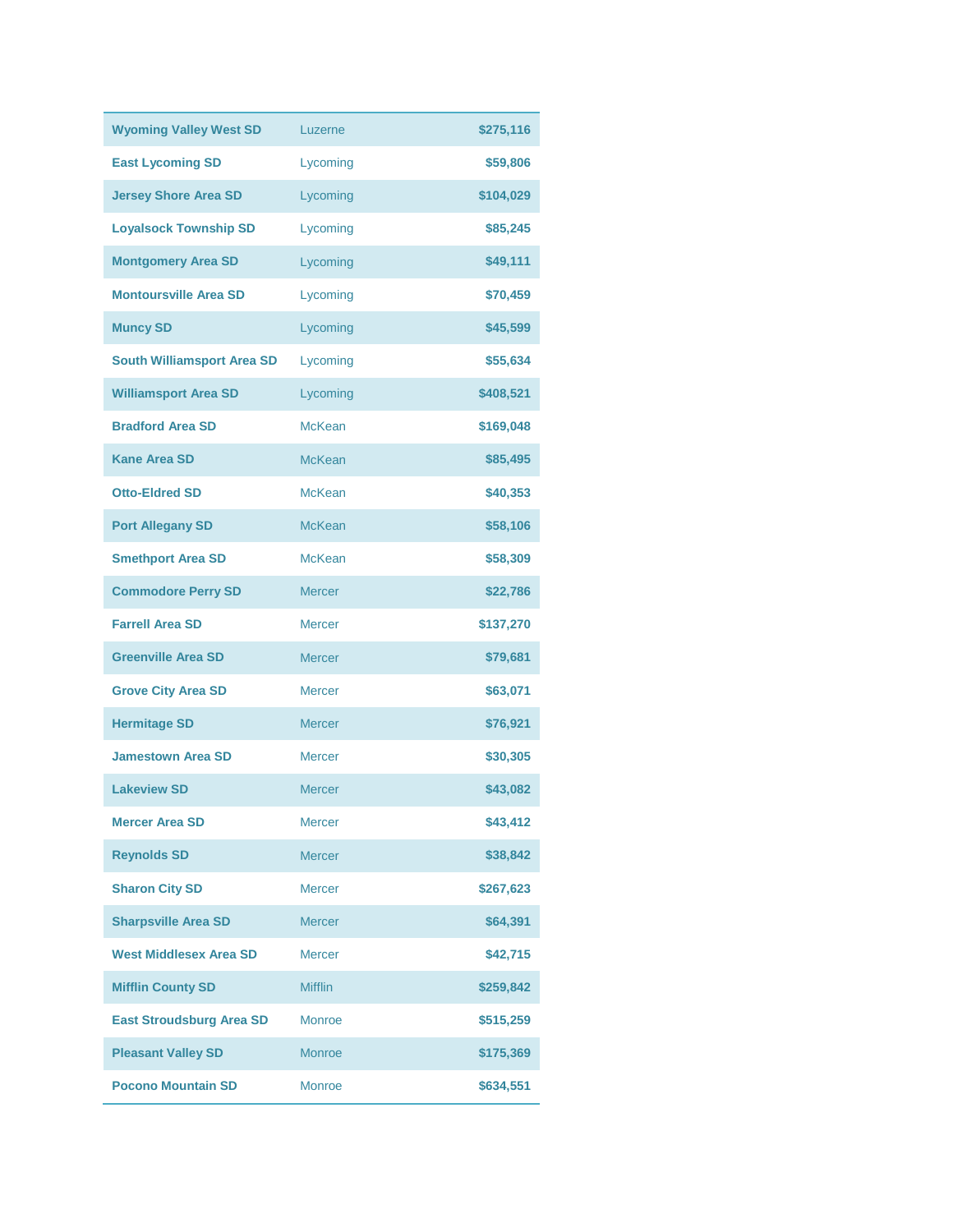| <b>Wyoming Valley West SD</b>     | Luzerne        | \$275,116 |
|-----------------------------------|----------------|-----------|
| <b>East Lycoming SD</b>           | Lycoming       | \$59,806  |
| <b>Jersey Shore Area SD</b>       | Lycoming       | \$104,029 |
| <b>Loyalsock Township SD</b>      | Lycoming       | \$85,245  |
| <b>Montgomery Area SD</b>         | Lycoming       | \$49,111  |
| <b>Montoursville Area SD</b>      | Lycoming       | \$70,459  |
| <b>Muncy SD</b>                   | Lycoming       | \$45,599  |
| <b>South Williamsport Area SD</b> | Lycoming       | \$55,634  |
| <b>Williamsport Area SD</b>       | Lycoming       | \$408,521 |
| <b>Bradford Area SD</b>           | <b>McKean</b>  | \$169,048 |
| <b>Kane Area SD</b>               | <b>McKean</b>  | \$85,495  |
| <b>Otto-Eldred SD</b>             | <b>McKean</b>  | \$40,353  |
| <b>Port Allegany SD</b>           | <b>McKean</b>  | \$58,106  |
| <b>Smethport Area SD</b>          | <b>McKean</b>  | \$58,309  |
| <b>Commodore Perry SD</b>         | <b>Mercer</b>  | \$22,786  |
| <b>Farrell Area SD</b>            | <b>Mercer</b>  | \$137,270 |
| <b>Greenville Area SD</b>         | <b>Mercer</b>  | \$79,681  |
| <b>Grove City Area SD</b>         | <b>Mercer</b>  | \$63,071  |
| <b>Hermitage SD</b>               | <b>Mercer</b>  | \$76,921  |
| <b>Jamestown Area SD</b>          | <b>Mercer</b>  | \$30,305  |
| <b>Lakeview SD</b>                | <b>Mercer</b>  | \$43,082  |
| <b>Mercer Area SD</b>             | <b>Mercer</b>  | \$43,412  |
| <b>Reynolds SD</b>                | <b>Mercer</b>  | \$38,842  |
| <b>Sharon City SD</b>             | <b>Mercer</b>  | \$267,623 |
| <b>Sharpsville Area SD</b>        | <b>Mercer</b>  | \$64,391  |
| <b>West Middlesex Area SD</b>     | <b>Mercer</b>  | \$42,715  |
| <b>Mifflin County SD</b>          | <b>Mifflin</b> | \$259,842 |
| <b>East Stroudsburg Area SD</b>   | Monroe         | \$515,259 |
| <b>Pleasant Valley SD</b>         | <b>Monroe</b>  | \$175,369 |
| <b>Pocono Mountain SD</b>         | <b>Monroe</b>  | \$634,551 |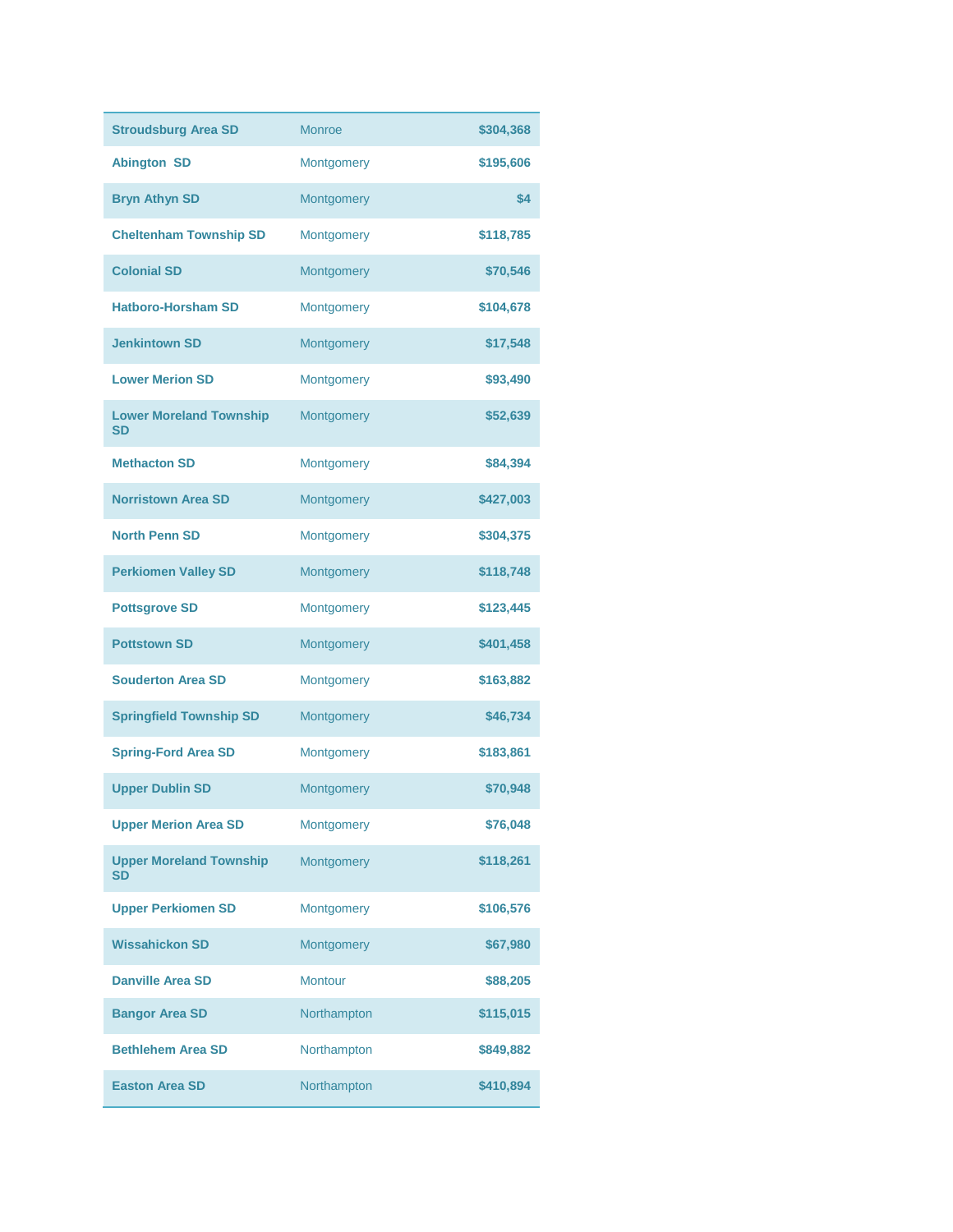| <b>Stroudsburg Area SD</b>                  | <b>Monroe</b>  | \$304,368 |
|---------------------------------------------|----------------|-----------|
| <b>Abington SD</b>                          | Montgomery     | \$195,606 |
| <b>Bryn Athyn SD</b>                        | Montgomery     | \$4       |
| <b>Cheltenham Township SD</b>               | Montgomery     | \$118,785 |
| <b>Colonial SD</b>                          | Montgomery     | \$70,546  |
| <b>Hatboro-Horsham SD</b>                   | Montgomery     | \$104,678 |
| <b>Jenkintown SD</b>                        | Montgomery     | \$17,548  |
| <b>Lower Merion SD</b>                      | Montgomery     | \$93,490  |
| <b>Lower Moreland Township</b><br><b>SD</b> | Montgomery     | \$52,639  |
| <b>Methacton SD</b>                         | Montgomery     | \$84,394  |
| <b>Norristown Area SD</b>                   | Montgomery     | \$427,003 |
| <b>North Penn SD</b>                        | Montgomery     | \$304,375 |
| <b>Perkiomen Valley SD</b>                  | Montgomery     | \$118,748 |
| <b>Pottsgrove SD</b>                        | Montgomery     | \$123,445 |
| <b>Pottstown SD</b>                         | Montgomery     | \$401,458 |
| <b>Souderton Area SD</b>                    | Montgomery     | \$163,882 |
| <b>Springfield Township SD</b>              | Montgomery     | \$46,734  |
| <b>Spring-Ford Area SD</b>                  | Montgomery     | \$183,861 |
| <b>Upper Dublin SD</b>                      | Montgomery     | \$70,948  |
| <b>Upper Merion Area SD</b>                 | Montgomery     | \$76,048  |
| <b>Upper Moreland Township</b><br><b>SD</b> | Montgomery     | \$118,261 |
| <b>Upper Perkiomen SD</b>                   | Montgomery     | \$106,576 |
| <b>Wissahickon SD</b>                       | Montgomery     | \$67,980  |
| <b>Danville Area SD</b>                     | <b>Montour</b> | \$88,205  |
| <b>Bangor Area SD</b>                       | Northampton    | \$115,015 |
| <b>Bethlehem Area SD</b>                    | Northampton    | \$849,882 |
| <b>Easton Area SD</b>                       | Northampton    | \$410,894 |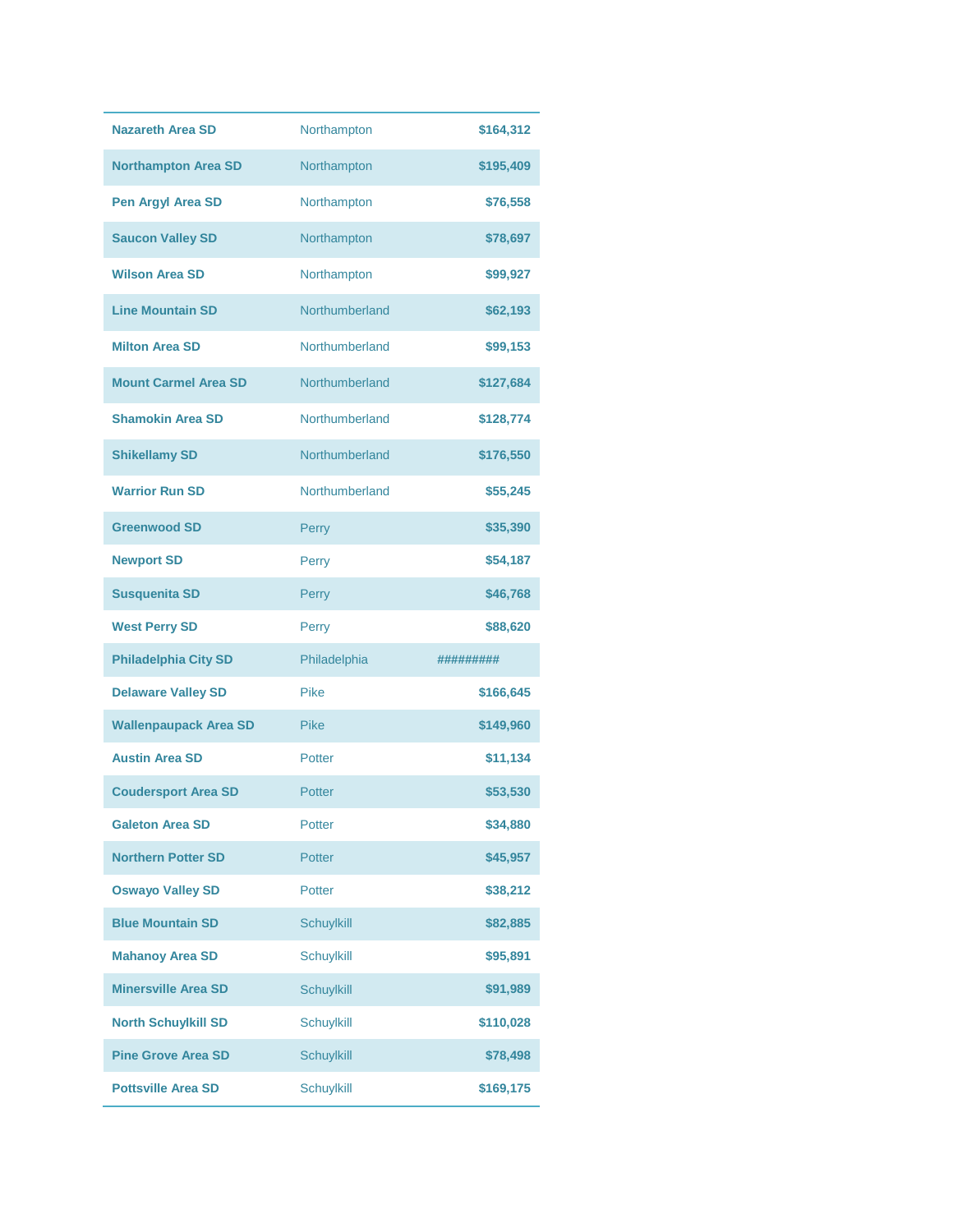| <b>Nazareth Area SD</b>      | Northampton       | \$164,312 |
|------------------------------|-------------------|-----------|
| <b>Northampton Area SD</b>   | Northampton       | \$195,409 |
| Pen Argyl Area SD            | Northampton       | \$76,558  |
| <b>Saucon Valley SD</b>      | Northampton       | \$78,697  |
| <b>Wilson Area SD</b>        | Northampton       | \$99,927  |
| <b>Line Mountain SD</b>      | Northumberland    | \$62,193  |
| <b>Milton Area SD</b>        | Northumberland    | \$99,153  |
| <b>Mount Carmel Area SD</b>  | Northumberland    | \$127,684 |
| <b>Shamokin Area SD</b>      | Northumberland    | \$128,774 |
| <b>Shikellamy SD</b>         | Northumberland    | \$176,550 |
| <b>Warrior Run SD</b>        | Northumberland    | \$55,245  |
| <b>Greenwood SD</b>          | Perry             | \$35,390  |
| <b>Newport SD</b>            | Perry             | \$54,187  |
| <b>Susquenita SD</b>         | Perry             | \$46,768  |
|                              |                   |           |
| <b>West Perry SD</b>         | Perry             | \$88,620  |
| <b>Philadelphia City SD</b>  | Philadelphia      | ######### |
| <b>Delaware Valley SD</b>    | <b>Pike</b>       | \$166,645 |
| <b>Wallenpaupack Area SD</b> | <b>Pike</b>       | \$149,960 |
| <b>Austin Area SD</b>        | Potter            | \$11,134  |
| <b>Coudersport Area SD</b>   | Potter            | \$53,530  |
| <b>Galeton Area SD</b>       | <b>Potter</b>     | \$34,880  |
| <b>Northern Potter SD</b>    | Potter            | \$45,957  |
| <b>Oswayo Valley SD</b>      | Potter            | \$38,212  |
| <b>Blue Mountain SD</b>      | Schuylkill        | \$82,885  |
| <b>Mahanoy Area SD</b>       | <b>Schuylkill</b> | \$95,891  |
| <b>Minersville Area SD</b>   | Schuylkill        | \$91,989  |
| <b>North Schuylkill SD</b>   | Schuylkill        | \$110,028 |
| <b>Pine Grove Area SD</b>    | Schuylkill        | \$78,498  |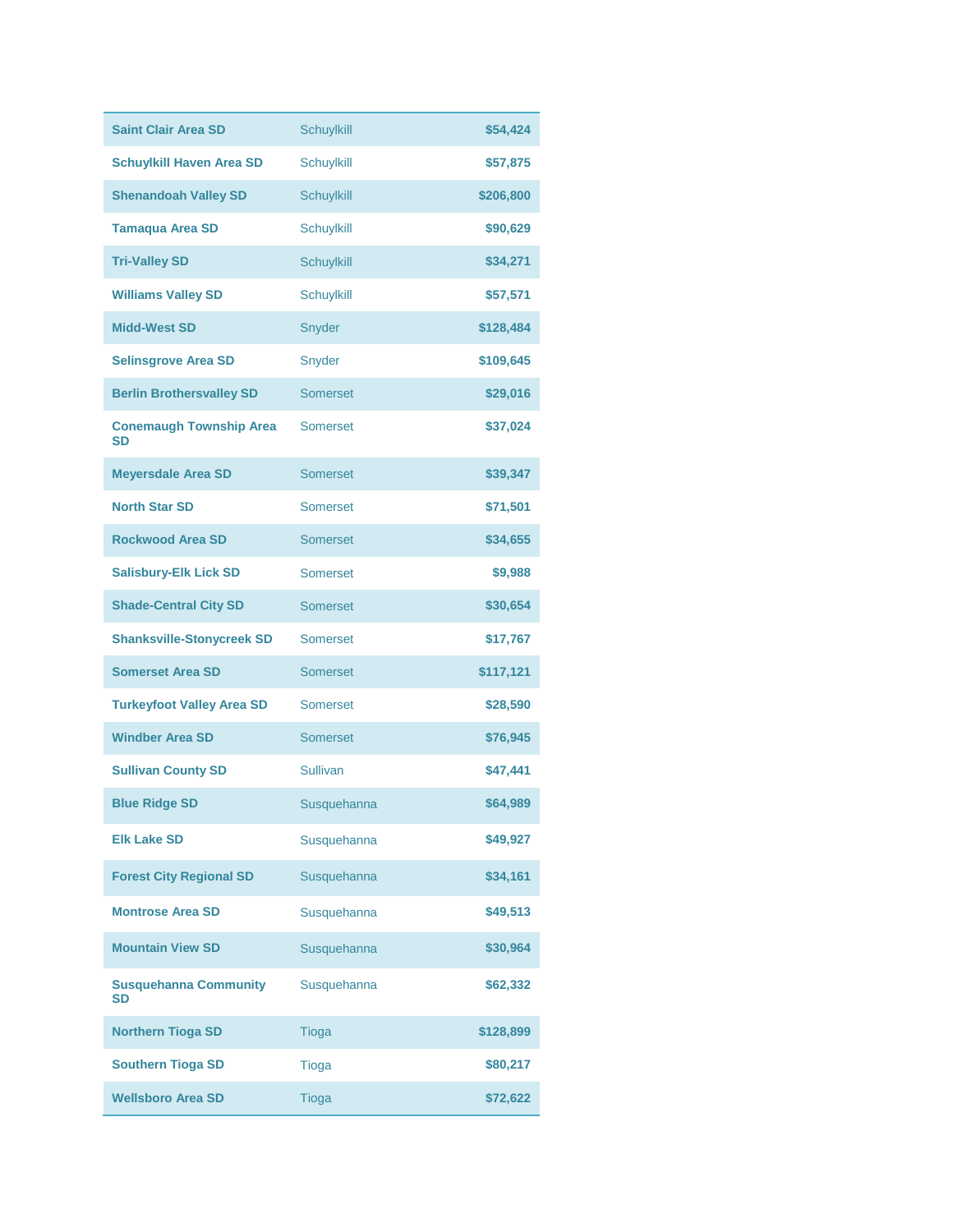| <b>Saint Clair Area SD</b>                | Schuylkill        | \$54,424  |
|-------------------------------------------|-------------------|-----------|
| <b>Schuylkill Haven Area SD</b>           | <b>Schuylkill</b> | \$57,875  |
| <b>Shenandoah Valley SD</b>               | <b>Schuylkill</b> | \$206,800 |
| <b>Tamaqua Area SD</b>                    | <b>Schuylkill</b> | \$90,629  |
| <b>Tri-Valley SD</b>                      | <b>Schuylkill</b> | \$34,271  |
| <b>Williams Valley SD</b>                 | <b>Schuylkill</b> | \$57,571  |
| <b>Midd-West SD</b>                       | Snyder            | \$128,484 |
| <b>Selinsgrove Area SD</b>                | Snyder            | \$109,645 |
| <b>Berlin Brothersvalley SD</b>           | <b>Somerset</b>   | \$29,016  |
| <b>Conemaugh Township Area</b><br>SD      | <b>Somerset</b>   | \$37,024  |
| <b>Meyersdale Area SD</b>                 | Somerset          | \$39,347  |
| <b>North Star SD</b>                      | Somerset          | \$71,501  |
| <b>Rockwood Area SD</b>                   | Somerset          | \$34,655  |
| <b>Salisbury-Elk Lick SD</b>              | <b>Somerset</b>   | \$9,988   |
| <b>Shade-Central City SD</b>              | Somerset          | \$30,654  |
| <b>Shanksville-Stonycreek SD</b>          | <b>Somerset</b>   | \$17,767  |
| <b>Somerset Area SD</b>                   | Somerset          | \$117,121 |
| <b>Turkeyfoot Valley Area SD</b>          | <b>Somerset</b>   | \$28,590  |
| <b>Windber Area SD</b>                    | Somerset          | \$76,945  |
| <b>Sullivan County SD</b>                 | <b>Sullivan</b>   | \$47,441  |
| <b>Blue Ridge SD</b>                      | Susquehanna       | \$64,989  |
| <b>Elk Lake SD</b>                        | Susquehanna       | \$49,927  |
| <b>Forest City Regional SD</b>            | Susquehanna       | \$34,161  |
| <b>Montrose Area SD</b>                   | Susquehanna       | \$49,513  |
| <b>Mountain View SD</b>                   | Susquehanna       | \$30,964  |
| <b>Susquehanna Community</b><br><b>SD</b> | Susquehanna       | \$62,332  |
| <b>Northern Tioga SD</b>                  | <b>Tioga</b>      | \$128,899 |
| <b>Southern Tioga SD</b>                  | <b>Tioga</b>      | \$80,217  |
| <b>Wellsboro Area SD</b>                  | Tioga             | \$72,622  |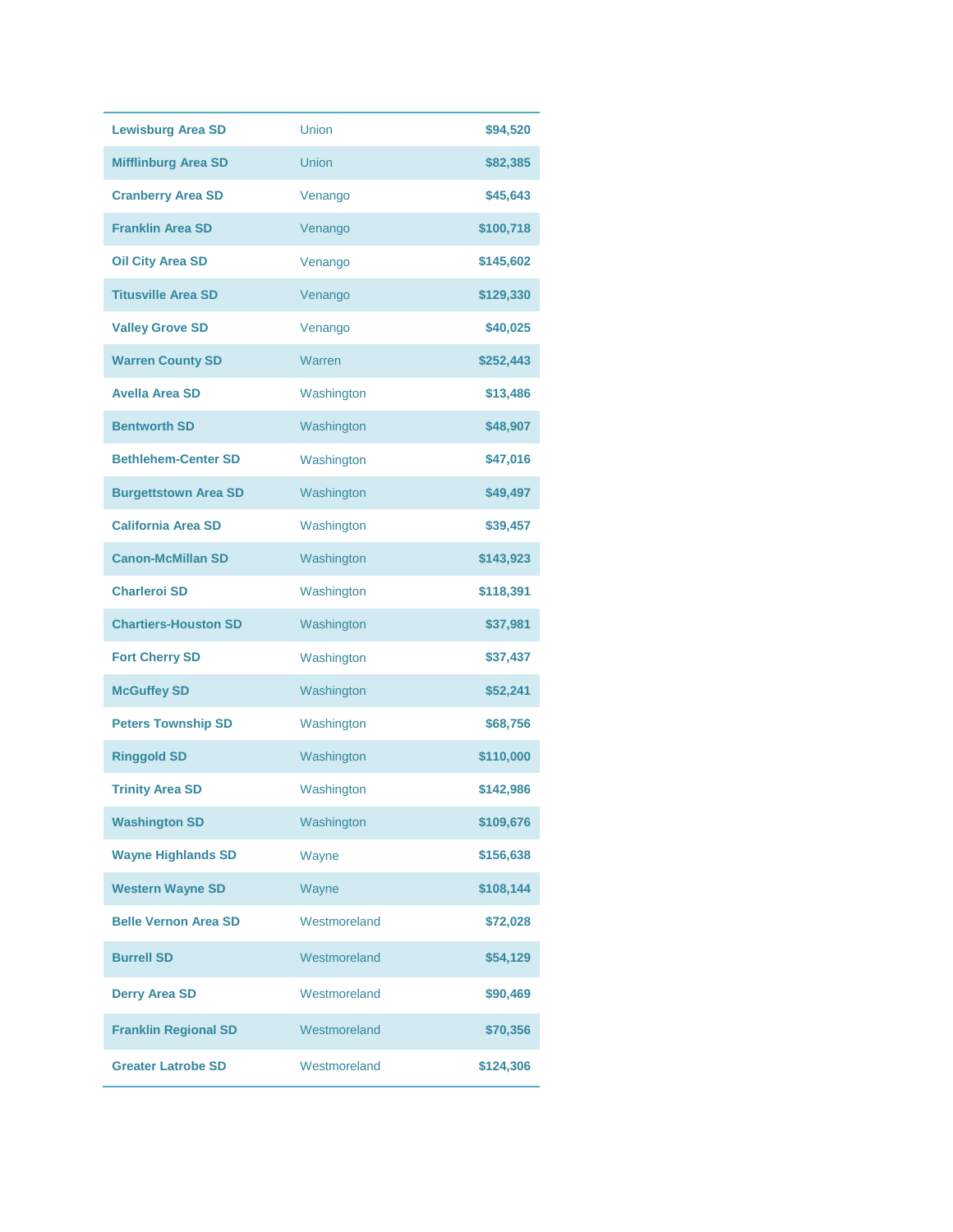| <b>Lewisburg Area SD</b>    | Union        | \$94,520  |
|-----------------------------|--------------|-----------|
| <b>Mifflinburg Area SD</b>  | Union        | \$82,385  |
| <b>Cranberry Area SD</b>    | Venango      | \$45,643  |
| <b>Franklin Area SD</b>     | Venango      | \$100,718 |
| <b>Oil City Area SD</b>     | Venango      | \$145,602 |
| <b>Titusville Area SD</b>   | Venango      | \$129,330 |
| <b>Valley Grove SD</b>      | Venango      | \$40,025  |
| <b>Warren County SD</b>     | Warren       | \$252,443 |
| <b>Avella Area SD</b>       | Washington   | \$13,486  |
| <b>Bentworth SD</b>         | Washington   | \$48,907  |
| <b>Bethlehem-Center SD</b>  | Washington   | \$47,016  |
| <b>Burgettstown Area SD</b> | Washington   | \$49,497  |
| <b>California Area SD</b>   | Washington   | \$39,457  |
| <b>Canon-McMillan SD</b>    | Washington   | \$143,923 |
| <b>Charleroi SD</b>         | Washington   | \$118,391 |
| <b>Chartiers-Houston SD</b> | Washington   | \$37,981  |
| <b>Fort Cherry SD</b>       | Washington   | \$37,437  |
| <b>McGuffey SD</b>          | Washington   | \$52,241  |
| <b>Peters Township SD</b>   | Washington   | \$68,756  |
| <b>Ringgold SD</b>          | Washington   | \$110,000 |
| <b>Trinity Area SD</b>      | Washington   | \$142,986 |
| <b>Washington SD</b>        | Washington   | \$109,676 |
| <b>Wayne Highlands SD</b>   | Wayne        | \$156,638 |
| <b>Western Wayne SD</b>     | Wayne        | \$108,144 |
| <b>Belle Vernon Area SD</b> | Westmoreland | \$72,028  |
| <b>Burrell SD</b>           | Westmoreland | \$54,129  |
| <b>Derry Area SD</b>        | Westmoreland | \$90,469  |
| <b>Franklin Regional SD</b> | Westmoreland | \$70,356  |
| <b>Greater Latrobe SD</b>   | Westmoreland | \$124,306 |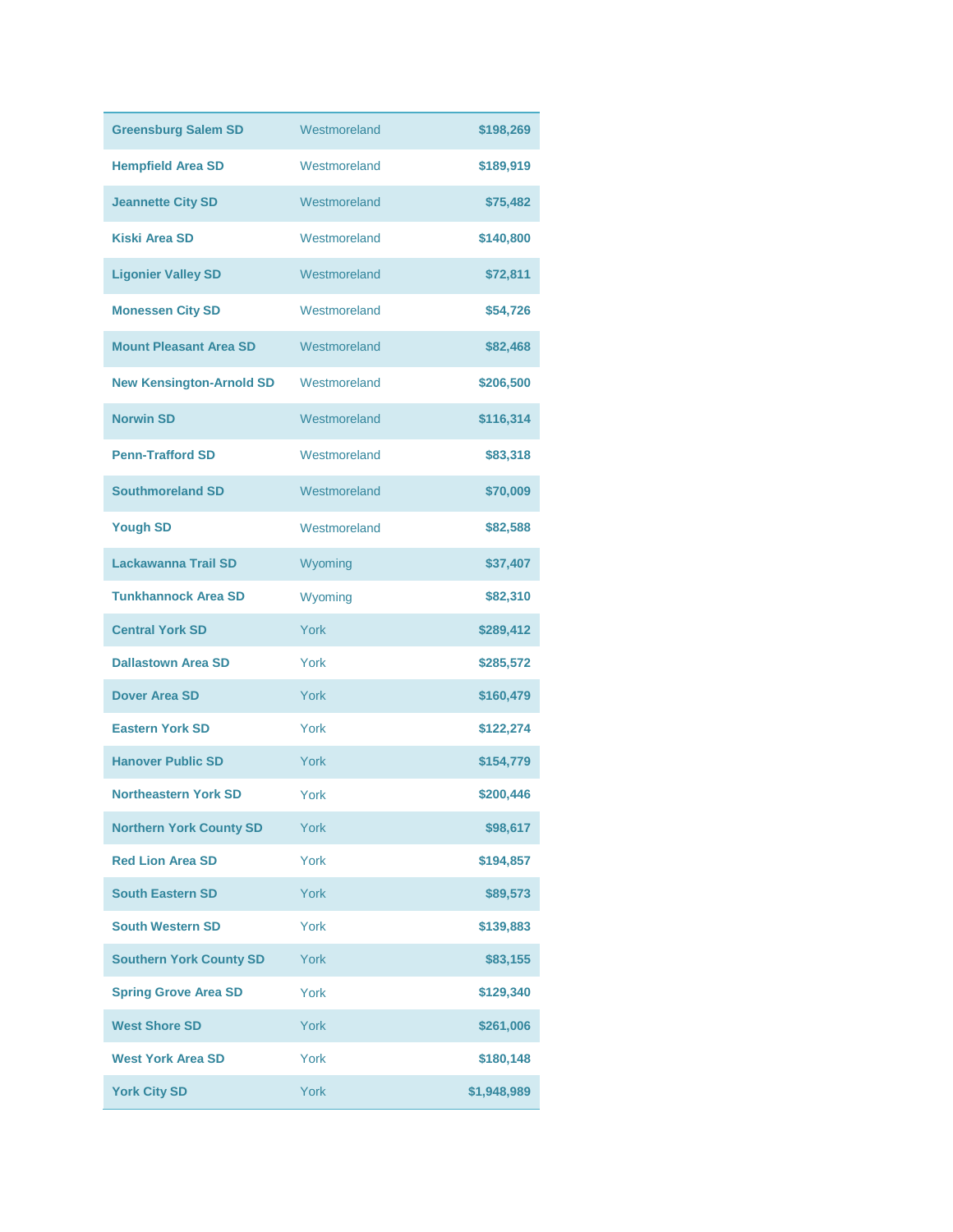| <b>Greensburg Salem SD</b>      | Westmoreland | \$198,269   |
|---------------------------------|--------------|-------------|
| <b>Hempfield Area SD</b>        | Westmoreland | \$189,919   |
| <b>Jeannette City SD</b>        | Westmoreland | \$75,482    |
| <b>Kiski Area SD</b>            | Westmoreland | \$140,800   |
| <b>Ligonier Valley SD</b>       | Westmoreland | \$72,811    |
| <b>Monessen City SD</b>         | Westmoreland | \$54,726    |
| <b>Mount Pleasant Area SD</b>   | Westmoreland | \$82,468    |
| <b>New Kensington-Arnold SD</b> | Westmoreland | \$206,500   |
| <b>Norwin SD</b>                | Westmoreland | \$116,314   |
| <b>Penn-Trafford SD</b>         | Westmoreland | \$83,318    |
| <b>Southmoreland SD</b>         | Westmoreland | \$70,009    |
| <b>Yough SD</b>                 | Westmoreland | \$82,588    |
| <b>Lackawanna Trail SD</b>      | Wyoming      | \$37,407    |
| <b>Tunkhannock Area SD</b>      | Wyoming      | \$82,310    |
| <b>Central York SD</b>          | York         | \$289,412   |
| <b>Dallastown Area SD</b>       | York         | \$285,572   |
| Dover Area SD                   | York         | \$160,479   |
| <b>Eastern York SD</b>          | York         | \$122,274   |
| <b>Hanover Public SD</b>        | York         | \$154,779   |
| <b>Northeastern York SD</b>     | York         | \$200,446   |
| <b>Northern York County SD</b>  | York         | \$98,617    |
| <b>Red Lion Area SD</b>         | York         | \$194,857   |
| <b>South Eastern SD</b>         | York         | \$89,573    |
| <b>South Western SD</b>         | York         | \$139,883   |
| <b>Southern York County SD</b>  | York         | \$83,155    |
| <b>Spring Grove Area SD</b>     | York         | \$129,340   |
| <b>West Shore SD</b>            | York         | \$261,006   |
| <b>West York Area SD</b>        | York         | \$180,148   |
| <b>York City SD</b>             | York         | \$1,948,989 |